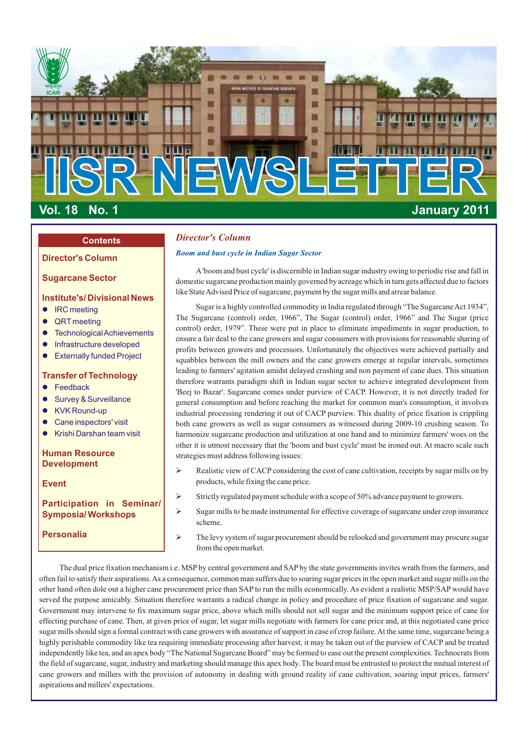

# **Contents**

# **Sugarcane Sector**

# **Institute's/ Divisional News**

- **IRC** meeting
- QRT meeting
- **•** Technological Achievements
- **•** Infrastructure developed
- **•** Externally funded Project

# **Transfer of Technology**

- $\bullet$  Feedback
- **•** Survey & Surveillance
- KVK Round-up
- Cane inspectors' visit
- **•** Krishi Darshan team visit

# **Human Resource Development**

# **Event**

# **Participation in Seminar/ Symposia/ Workshops**

# **Personalia**

# *Director's Column*

# *Boom and bust cycle in Indian Sugar Sector* **Director's Column**

A'boom and bust cycle' is discernible in Indian sugar industry owing to periodic rise and fall in domestic sugarcane production mainly governed by acreage which in turn gets affected due to factors like State Advised Price of sugarcane, payment by the sugar mills and arrear balance.

Sugar is a highly controlled commodity in India regulated through "The Sugarcane Act 1934", The Sugarcane (control) order, 1966", The Sugar (control) order, 1966" and The Sugar (price control) order, 1979". These were put in place to eliminate impediments in sugar production, to ensure a fair deal to the cane growers and sugar consumers with provisions for reasonable sharing of profits between growers and processors. Unfortunately the objectives were achieved partially and squabbles between the mill owners and the cane growers emerge at regular intervals, sometimes leading to farmers' agitation amidst delayed crushing and non payment of cane dues. This situation therefore warrants paradigm shift in Indian sugar sector to achieve integrated development from 'Beej to Bazar'. Sugarcane comes under purview of CACP. However, it is not directly traded for general consumption and before reaching the market for common man's consumption, it involves industrial processing rendering it out of CACP purview. This duality of price fixation is crippling both cane growers as well as sugar consumers as witnessed during 2009-10 crushing season. To harmonize sugarcane production and utilization at one hand and to minimize farmers' woes on the other it is utmost necessary that the 'boom and bust cycle' must be ironed out. At macro scale such strategies must address following issues:

- Ø Realistic view of CACP considering the cost of cane cultivation, receipts by sugar mills on by products, while fixing the cane price.
- Ø Strictly regulated payment schedule with a scope of 50% advance payment to growers.
- Ø Sugar mills to be made instrumental for effective coverage of sugarcane under crop insurance scheme.
- Ø The levy system of sugar procurement should be relooked and government may procure sugar from the open market.

The dual price fixation mechanism i.e. MSP by central government and SAP by the state governments invites wrath from the farmers, and often fail to satisfy their aspirations. As a consequence, common man suffers due to soaring sugar prices in the open market and sugar mills on the other hand often dole out a higher cane procurement price than SAP to run the mills economically. As evident a realistic MSP/SAP would have served the purpose amicably. Situation therefore warrants a radical change in policy and procedure of price fixation of sugarcane and sugar. Government may intervene to fix maximum sugar price, above which mills should not sell sugar and the minimum support price of cane for effecting purchase of cane. Then, at given price of sugar, let sugar mills negotiate with farmers for cane price and, at this negotiated cane price sugar mills should sign a formal contract with cane growers with assurance of support in case of crop failure. At the same time, sugarcane being a highly perishable commodity like tea requiring immediate processing after harvest, it may be taken out of the purview of CACP and be treated independently like tea, and an apex body "The National Sugarcane Board" may be formed to ease out the present complexities. Technocrats from the field of sugarcane, sugar, industry and marketing should manage this apex body. The board must be entrusted to protect the mutual interest of cane growers and millers with the provision of autonomy in dealing with ground reality of cane cultivation, soaring input prices, farmers' aspirations and millers' expectations.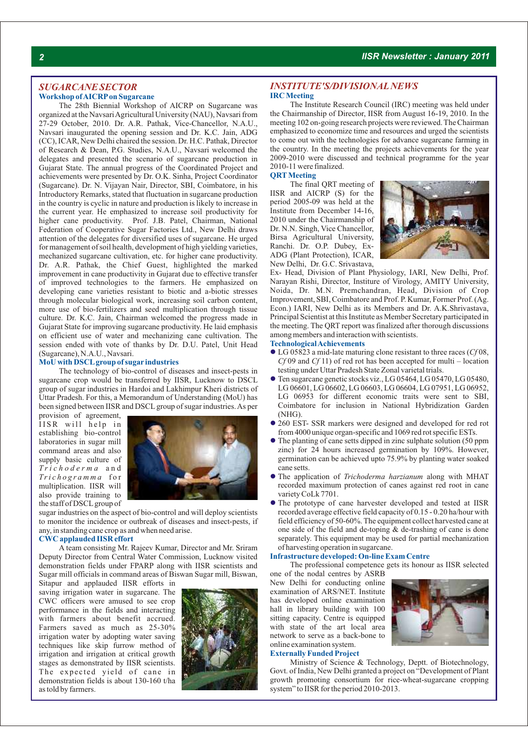### *SUGARCANE SECTOR* **Workshop of AICRPon Sugarcane**

The 28th Biennial Workshop of AICRP on Sugarcane was organized at the Navsari Agricultural University (NAU), Navsari from 27-29 October, 2010. Dr. A.R. Pathak, Vice-Chancellor, N.A.U., Navsari inaugurated the opening session and Dr. K.C. Jain, ADG (CC), ICAR, New Delhi chaired the session. Dr. H.C. Pathak, Director of Research & Dean, P.G. Studies, N.A.U., Navsari welcomed the delegates and presented the scenario of sugarcane production in Gujarat State. The annual progress of the Coordinated Project and achievements were presented by Dr. O.K. Sinha, Project Coordinator (Sugarcane). Dr. N. Vijayan Nair, Director, SBI, Coimbatore, in his Introductory Remarks, stated that fluctuation in sugarcane production in the country is cyclic in nature and production is likely to increase in the current year. He emphasized to increase soil productivity for higher cane productivity. Prof. J.B. Patel, Chairman, National Federation of Cooperative Sugar Factories Ltd., New Delhi draws attention of the delegates for diversified uses of sugarcane. He urged for management of soil health, development of high yielding varieties, mechanized sugarcane cultivation, etc. for higher cane productivity. Dr. A.R. Pathak, the Chief Guest, highlighted the marked improvement in cane productivity in Gujarat due to effective transfer of improved technologies to the farmers. He emphasized on developing cane varieties resistant to biotic and a-biotic stresses through molecular biological work, increasing soil carbon content, more use of bio-fertilizers and seed multiplication through tissue culture. Dr. K.C. Jain, Chairman welcomed the progress made in Gujarat State for improving sugarcane productivity. He laid emphasis on efficient use of water and mechanizing cane cultivation. The session ended with vote of thanks by Dr. D.U. Patel, Unit Head (Sugarcane), N.A.U., Navsari.

#### **MoU with DSCLgroup of sugar industries**

The technology of bio-control of diseases and insect-pests in sugarcane crop would be transferred by IISR, Lucknow to DSCL group of sugar industries in Hardoi and Lakhimpur Kheri districts of Uttar Pradesh. For this, a Memorandum of Understanding (MoU) has been signed between IISR and DSCL group of sugar industries. As per

provision of agreement, IISR will help in establishing bio-control laboratories in sugar mill command areas and also supply basic culture of *T r i c h o d e r m a* a n d *Tri c h o g r a m m a* f o r multiplication. IISR will also provide training to the staff of DSCLgroup of



sugar industries on the aspect of bio-control and will deploy scientists to monitor the incidence or outbreak of diseases and insect-pests, if any, in standing cane crop as and when need arise.

#### **CWC applauded IISR effort**

A team consisting Mr. Rajeev Kumar, Director and Mr. Sriram Deputy Director from Central Water Commission, Lucknow visited demonstration fields under FPARP along with IISR scientists and Sugar mill officials in command areas of Biswan Sugar mill, Biswan,

Sitapur and applauded IISR efforts in saving irrigation water in sugarcane. The CWC officers were amused to see crop performance in the fields and interacting with farmers about benefit accrued. Farmers saved as much as 25-30% irrigation water by adopting water saving techniques like skip furrow method of irrigation and irrigation at critical growth stages as demonstrated by IISR scientists. The expected yield of cane in demonstration fields is about 130-160 t/ha as told by farmers.



# *INSTITUTE'S/DIVISIONALNEWS* **IRC Meeting**

The Institute Research Council (IRC) meeting was held under the Chairmanship of Director, IISR from August 16-19, 2010. In the meeting 102 on-going research projects were reviewed. The Chairman emphasized to economize time and resources and urged the scientists to come out with the technologies for advance sugarcane farming in the country. In the meeting the projects achievements for the year 2009-2010 were discussed and technical programme for the year 2010-11 were finalized.

# **QRTMeeting**

The final QRT meeting of IISR and AICRP (S) for the period 2005-09 was held at the Institute from December 14-16, 2010 under the Chairmanship of Dr. N.N. Singh, Vice Chancellor, Birsa Agricultural University, Ranchi. Dr. O.P. Dubey, Ex-ADG (Plant Protection), ICAR, New Delhi, Dr. G.C. Srivastava,



Ex- Head, Division of Plant Physiology, IARI, New Delhi, Prof. Narayan Rishi, Director, Institure of Virology, AMITY University, Noida, Dr. M.N. Premchandran, Head, Division of Crop Improvement, SBI, Coimbatore and Prof. P. Kumar, Former Prof. (Ag. Econ.) IARI, New Delhi as its Members and Dr. A.K.Shrivastava, Principal Scientist at this Institute as Member Secretary participated in the meeting. The QRT report was finalized after thorough discussions among members and interaction with scientists.

# **Technological Achievements**

- LG 05823 a mid-late maturing clone resistant to three races (*Cf* 08, l *Cf* 09 and *Cf* 11) of red rot has been accepted for multi – location testing under Uttar Pradesh State Zonal varietal trials.
- Ten sugarcane genetic stocks viz., LG 05464, LG 05470, LG 05480, l LG 06601, LG 06602, LG 06603, LG 06604, LG 07951, LG 06952, LG 06953 for different economic traits were sent to SBI, Coimbatore for inclusion in National Hybridization Garden (NHG).
- 260 EST- SSR markers were designed and developed for red rot l from 4000 unique organ-specific and 1069 red rot specific ESTs.
- The planting of cane setts dipped in zinc sulphate solution (50 ppm l zinc) for 24 hours increased germination by 109%. However, germination can be achieved upto 75.9% by planting water soaked cane setts.
- The application of *Trichoderma harzianum* along with MHAT l recorded maximum protection of canes against red root in cane variety CoLk 7701.
- $\bullet$  The prototype of cane harvester developed and tested at IISR recorded average effective field capacity of 0.15 - 0.20 ha/hour with field efficiency of 50-60%. The equipment collect harvested cane at one side of the field and de-toping & de-trashing of cane is done separately. This equipment may be used for partial mechanization of harvesting operation in sugarcane.

#### **Infrastructure developed: On-line Exam Centre**

The professional competence gets its honour as IISR selected

one of the nodal centres by ASRB New Delhi for conducting online examination of ARS/NET. Institute has developed online examination hall in library building with 100 sitting capacity. Centre is equipped with state of the art local area network to serve as a back-bone to online examination system.



### **Externally Funded Project**

Ministry of Science & Technology, Deptt. of Biotechnology, Govt. of India, New Delhi granted a project on "Development of Plant growth promoting consortium for rice-wheat-sugarcane cropping system" to IISR for the period 2010-2013.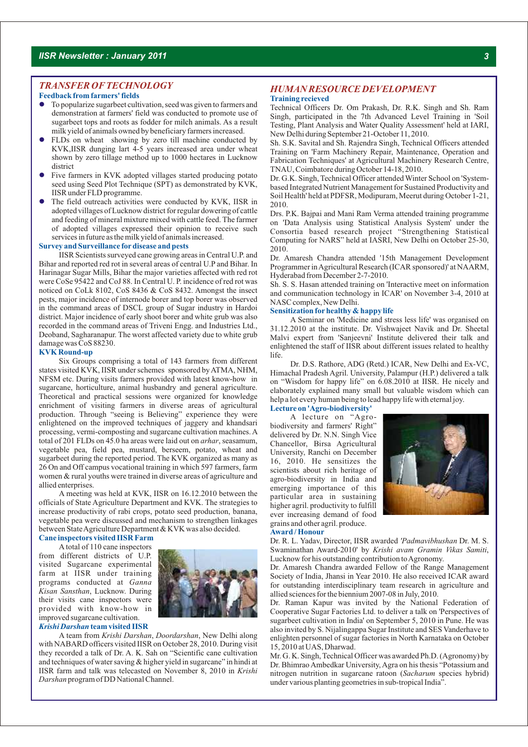# *TRANSFER OFTECHNOLOGY*

## **Feedback from farmers' fields**

- l To popularize sugarbeet cultivation, seed was given to farmers and demonstration at farmers' field was conducted to promote use of sugarbeet tops and roots as fodder for milch animals. As a result milk yield of animals owned by beneficiary farmers increased.
- l FLDs on wheat showing by zero till machine conducted by KVK,IISR dunging lart 4-5 years increased area under wheat shown by zero tillage method up to 1000 hectares in Lucknow district
- l Five farmers in KVK adopted villages started producing potato seed using Seed Plot Technique (SPT) as demonstrated by KVK, IISR under FLD programme.
- adopted villages of Lucknow district for regular dowering of cattle Drs. P.K. Bajpai and Mani Ram Verma attended training programme • The field outreach activities were conducted by KVK, IISR in adopted villages of Lucknow district for regular dowering of cattle and feeding of mineral mixture mixed with cattle feed. The farmer of adopted villages expressed their opinion to receive such services in future as the milk yield of animals increased.

#### **Survey and Surveillance fordisease and pests**

IISR Scientists surveyed cane growing areas in Central U.P. and Bihar and reported red rot in several areas of central U.P and Bihar. In Harinagar Sugar Mills, Bihar the major varieties affected with red rot were CoSe 95422 and CoJ 88. In Central U. P. incidence of red rot was noticed on CoLk 8102, CoS 8436 & CoS 8432. Amongst the insect pests, major incidence of internode borer and top borer was observed in the command areas of DSCL group of Sugar industry in Hardoi district. Major incidence of early shoot borer and white grub was also recorded in the command areas of Triveni Engg. and Industries Ltd., Deoband, Sagharanapur. The worst affected variety due to white grub damage was CoS 88230.

#### **KVK Round-up**

Six Groups comprising a total of 143 farmers from different states visited KVK, IISR under schemes sponsored by ATMA, NHM, NFSM etc. During visits farmers provided with latest know-how in sugarcane, horticulture, animal husbandry and general agriculture. Theoretical and practical sessions were organized for knowledge enrichment of visiting farmers in diverse areas of agricultural production. Through "seeing is Believing" experience they were enlightened on the improved techniques of jaggery and khandsari processing, vermi-composting and sugarcane cultivation machines. A total of 201 FLDs on 45.0 ha areas were laid out on *arhar*, seasamum, vegetable pea, field pea, mustard, berseem, potato, wheat and sugarbeet during the reported period. The KVK organized as many as 26 On and Off campus vocational training in which 597 farmers, farm women & rural youths were trained in diverse areas of agriculture and allied enterprises.

A meeting was held at KVK, IISR on 16.12.2010 between the officials of State Agriculture Department and KVK. The strategies to increase productivity of rabi crops, potato seed production, banana, vegetable pea were discussed and mechanism to strengthen linkages between State Agriculture Department & KVK was also decided.

# **Cane inspectors visited IISR Farm**

A total of 110 cane inspectors from different districts of U.P. visited Sugarcane experimental farm at IISR under training programs conducted at *Ganna Kisan Sansthan*, Lucknow. During their visits cane inspectors were provided with know-how in improved sugarcane cultivation.

#### *Krishi Darshan* **team visited IISR**

A team from *Krishi Darshan*, *Doordarshan*, New Delhi along with NABARD officers visited IISR on October 28, 2010. During visit they recorded a talk of Dr. A. K. Sah on "Scientific cane cultivation and techniques of water saving & higher yield in sugarcane" in hindi at IISR farm and talk was telecasted on November 8, 2010 in *Krishi Darshan* program of DD National Channel.

### *HUMAN RESOURCE DEVELOPMENT* **Training recieved**

Technical Officers Dr. Om Prakash, Dr. R.K. Singh and Sh. Ram Singh, participated in the 7th Advanced Level Training in 'Soil Testing, Plant Analysis and Water Quality Assessment' held at IARI, New Delhi during September 21-October 11, 2010.

Sh. S.K. Savital and Sh. Rajendra Singh, Technical Officers attended Training on 'Farm Machinery Repair, Maintenance, Operation and Fabrication Techniques' at Agricultural Machinery Research Centre, TNAU, Coimbatore during October 14-18, 2010.

Dr. G.K. Singh, Technical Officer attended Winter School on 'Systembased Integrated Nutrient Management for Sustained Productivity and Soil Health' held at PDFSR, Modipuram, Meerut during October 1-21, 2010.

on 'Data Analysis using Statistical Analysis System' under the Consortia based research project "Strengthening Statistical Computing for NARS" held at IASRI, New Delhi on October 25-30, 2010.

Dr. Amaresh Chandra attended '15th Management Development Programmer in Agricultural Research (ICAR sponsored)' at NAARM, Hyderabad from December 2-7-2010.

Sh. S. S. Hasan attended training on 'Interactive meet on information and communication technology in ICAR' on November 3-4, 2010 at NASC complex, New Delhi.

#### **Sensitization forhealthy & happy life**

A Seminar on 'Medicine and stress less life' was organised on 31.12.2010 at the institute. Dr. Vishwajeet Navik and Dr. Sheetal Malvi expert from 'Sanjeevni' Institute delivered their talk and enlightened the staff of IISR about different issues related to healthy life.

**Lecture on 'Agro-biodiversity'** Dr. D.S. Rathore, ADG (Retd.) ICAR, New Delhi and Ex-VC, Himachal Pradesh Agril. University, Palampur (H.P.) delivered a talk on "Wisdom for happy life" on 6.08.2010 at IISR. He nicely and elaborately explained many small but valuable wisdom which can help a lot every human being to lead happy life with eternal joy.

A lecture on "Agrobiodiversity and farmers' Right" delivered by Dr. N.N. Singh Vice Chancellor, Birsa Agricultural University, Ranchi on December 16, 2010. He sensitizes the scientists about rich heritage of agro-biodiversity in India and emerging importance of this particular area in sustaining higher agril. productivity to fulfill ever increasing demand of food grains and other agril. produce.



#### **Award / Honour**

Dr. R. L. Yadav, Director, IISR awarded *'Padmavibhushan* Dr. M. S. Swaminathan Award-2010' by *Krishi avam Gramin Vikas Samiti*, Lucknow for his outstanding contribution to Agronomy.

Dr. Amaresh Chandra awarded Fellow of the Range Management Society of India, Jhansi in Year 2010. He also received ICAR award for outstanding interdisciplinary team research in agriculture and allied sciences for the biennium 2007-08 in July, 2010.

Dr. Raman Kapur was invited by the National Federation of Cooperative Sugar Factories Ltd. to deliver a talk on 'Perspectives of sugarbeet cultivation in India' on September 5, 2010 in Pune. He was also invited by S. Nijalingappa Sugar Institute and SES Vanderhave to enlighten personnel of sugar factories in North Karnataka on October 15, 2010 at UAS, Dharwad.

Mr. G. K. Singh, Technical Officer was awarded Ph.D. (Agronomy) by Dr. Bhimrao Ambedkar University, Agra on his thesis "Potassium and nitrogen nutrition in sugarcane ratoon (*Sacharum* species hybrid) under various planting geometries in sub-tropical India".